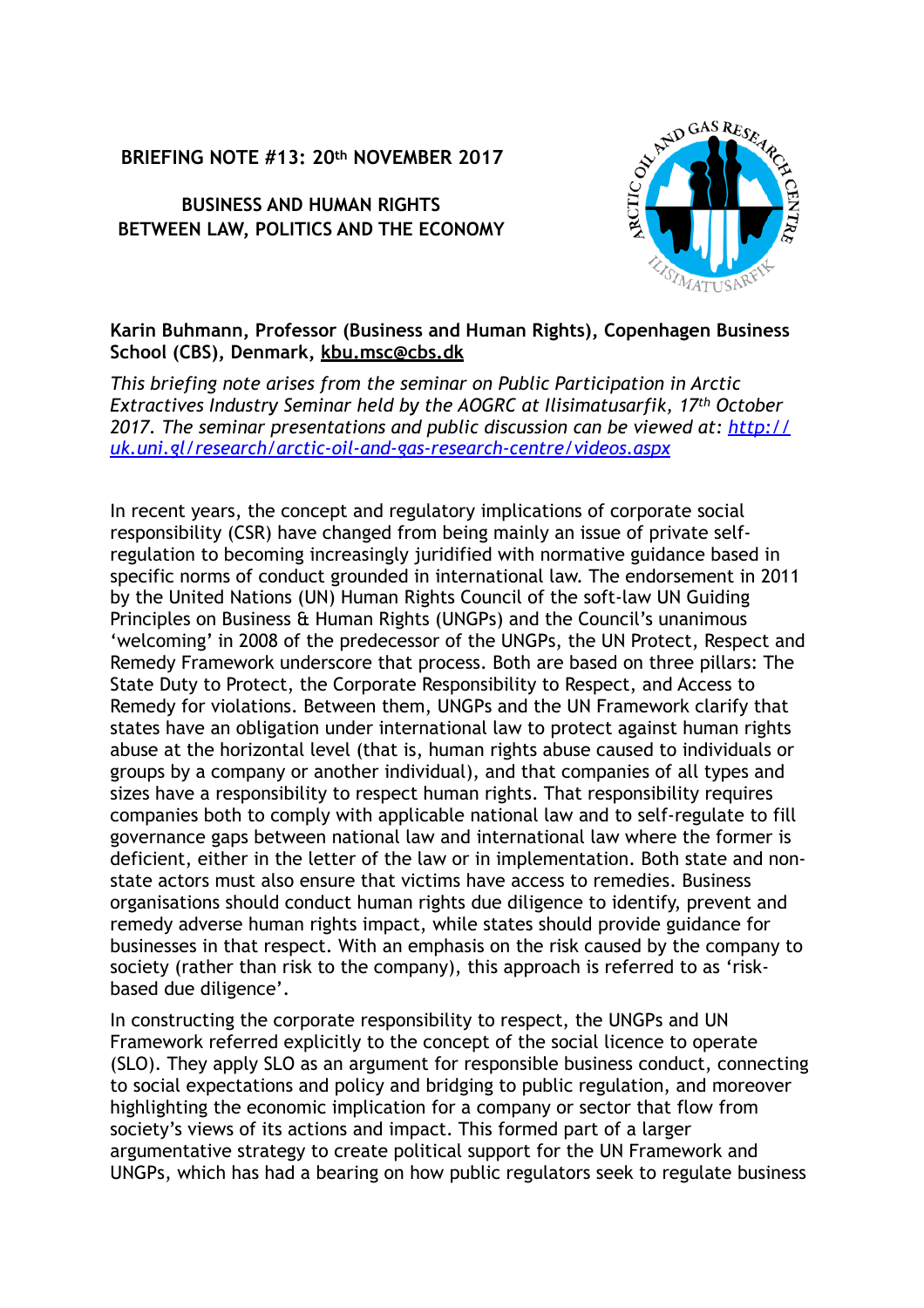## **BRIEFING NOTE #13: 20th NOVEMBER 2017**

## **BUSINESS AND HUMAN RIGHTS BETWEEN LAW, POLITICS AND THE ECONOMY**



## **Karin Buhmann, Professor (Business and Human Rights), Copenhagen Business School (CBS), Denmark, [kbu.msc@cbs.dk](mailto:kbu.msc@cbs.dk)**

*This briefing note arises from the seminar on Public Participation in Arctic Extractives Industry Seminar held by the AOGRC at Ilisimatusarfik, 17th October 2017. The seminar presentations and public discussion can be viewed at: [http://](http://uk.uni.gl/research/arctic-oil-and-gas-research-centre/videos.aspx) [uk.uni.gl/research/arctic-oil-and-gas-research-centre/videos.aspx](http://uk.uni.gl/research/arctic-oil-and-gas-research-centre/videos.aspx)*

In recent years, the concept and regulatory implications of corporate social responsibility (CSR) have changed from being mainly an issue of private selfregulation to becoming increasingly juridified with normative guidance based in specific norms of conduct grounded in international law. The endorsement in 2011 by the United Nations (UN) Human Rights Council of the soft-law UN Guiding Principles on Business & Human Rights (UNGPs) and the Council's unanimous 'welcoming' in 2008 of the predecessor of the UNGPs, the UN Protect, Respect and Remedy Framework underscore that process. Both are based on three pillars: The State Duty to Protect, the Corporate Responsibility to Respect, and Access to Remedy for violations. Between them, UNGPs and the UN Framework clarify that states have an obligation under international law to protect against human rights abuse at the horizontal level (that is, human rights abuse caused to individuals or groups by a company or another individual), and that companies of all types and sizes have a responsibility to respect human rights. That responsibility requires companies both to comply with applicable national law and to self-regulate to fill governance gaps between national law and international law where the former is deficient, either in the letter of the law or in implementation. Both state and nonstate actors must also ensure that victims have access to remedies. Business organisations should conduct human rights due diligence to identify, prevent and remedy adverse human rights impact, while states should provide guidance for businesses in that respect. With an emphasis on the risk caused by the company to society (rather than risk to the company), this approach is referred to as 'riskbased due diligence'.

In constructing the corporate responsibility to respect, the UNGPs and UN Framework referred explicitly to the concept of the social licence to operate (SLO). They apply SLO as an argument for responsible business conduct, connecting to social expectations and policy and bridging to public regulation, and moreover highlighting the economic implication for a company or sector that flow from society's views of its actions and impact. This formed part of a larger argumentative strategy to create political support for the UN Framework and UNGPs, which has had a bearing on how public regulators seek to regulate business